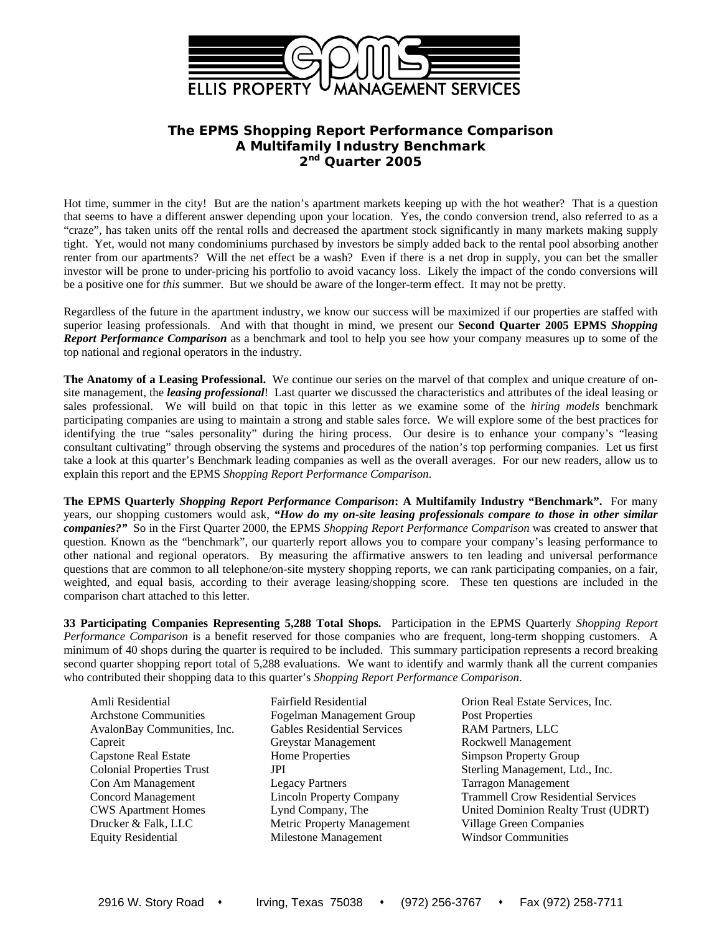

## **The EPMS** *Shopping Report Performance Comparison*  **A Multifamily Industry Benchmark 2nd Quarter 2005**

Hot time, summer in the city! But are the nation's apartment markets keeping up with the hot weather? That is a question that seems to have a different answer depending upon your location. Yes, the condo conversion trend, also referred to as a "craze", has taken units off the rental rolls and decreased the apartment stock significantly in many markets making supply tight. Yet, would not many condominiums purchased by investors be simply added back to the rental pool absorbing another renter from our apartments? Will the net effect be a wash? Even if there is a net drop in supply, you can bet the smaller investor will be prone to under-pricing his portfolio to avoid vacancy loss. Likely the impact of the condo conversions will be a positive one for *this* summer. But we should be aware of the longer-term effect. It may not be pretty.

Regardless of the future in the apartment industry, we know our success will be maximized if our properties are staffed with superior leasing professionals. And with that thought in mind, we present our **Second Quarter 2005 EPMS** *Shopping Report Performance Comparison* as a benchmark and tool to help you see how your company measures up to some of the top national and regional operators in the industry.

**The Anatomy of a Leasing Professional.** We continue our series on the marvel of that complex and unique creature of onsite management, the *leasing professional*! Last quarter we discussed the characteristics and attributes of the ideal leasing or sales professional. We will build on that topic in this letter as we examine some of the *hiring models* benchmark participating companies are using to maintain a strong and stable sales force. We will explore some of the best practices for identifying the true "sales personality" during the hiring process. Our desire is to enhance your company's "leasing consultant cultivating" through observing the systems and procedures of the nation's top performing companies. Let us first take a look at this quarter's Benchmark leading companies as well as the overall averages. For our new readers, allow us to explain this report and the EPMS *Shopping Report Performance Comparison*.

**The EPMS Quarterly** *Shopping Report Performance Comparison***: A Multifamily Industry "Benchmark".** For many years, our shopping customers would ask, *"How do my on-site leasing professionals compare to those in other similar companies?"* So in the First Quarter 2000, the EPMS *Shopping Report Performance Comparison* was created to answer that question. Known as the "benchmark", our quarterly report allows you to compare your company's leasing performance to other national and regional operators. By measuring the affirmative answers to ten leading and universal performance questions that are common to all telephone/on-site mystery shopping reports, we can rank participating companies, on a fair, weighted, and equal basis, according to their average leasing/shopping score. These ten questions are included in the comparison chart attached to this letter.

**33 Participating Companies Representing 5,288 Total Shops.** Participation in the EPMS Quarterly *Shopping Report Performance Comparison* is a benefit reserved for those companies who are frequent, long-term shopping customers. A minimum of 40 shops during the quarter is required to be included. This summary participation represents a record breaking second quarter shopping report total of 5,288 evaluations. We want to identify and warmly thank all the current companies who contributed their shopping data to this quarter's *Shopping Report Performance Comparison*.

Amli Residential Fairfield Residential Crion Real Estate Services, Inc.

Archstone Communities Fogelman Management Group Post Properties AvalonBay Communities, Inc. Gables Residential Services RAM Partners, LLC Capreit Greystar Management Rockwell Management Capstone Real Estate Home Properties Simpson Property Group Con Am Management Legacy Partners Tarragon Management Drucker & Falk, LLC Metric Property Management Village Green Companies Equity Residential Milestone Management Windsor Communities

Colonial Properties Trust JPI Sterling Management, Ltd., Inc. Concord Management Lincoln Property Company Trammell Crow Residential Services CWS Apartment Homes Lynd Company, The United Dominion Realty Trust (UDRT)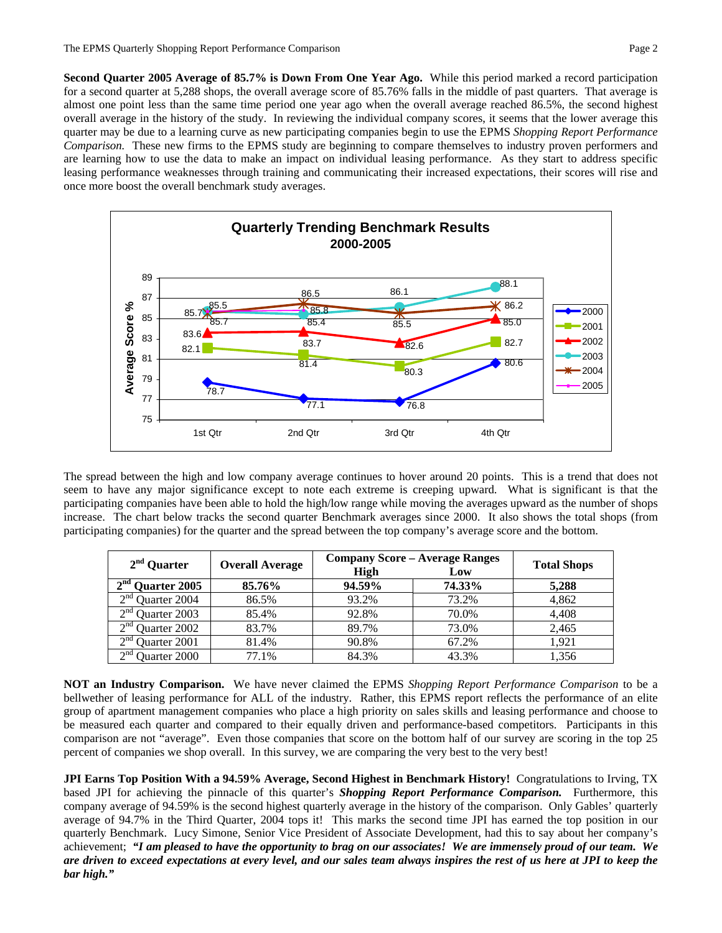**Second Quarter 2005 Average of 85.7% is Down From One Year Ago.** While this period marked a record participation for a second quarter at 5,288 shops, the overall average score of 85.76% falls in the middle of past quarters. That average is almost one point less than the same time period one year ago when the overall average reached 86.5%, the second highest overall average in the history of the study. In reviewing the individual company scores, it seems that the lower average this quarter may be due to a learning curve as new participating companies begin to use the EPMS *Shopping Report Performance Comparison.* These new firms to the EPMS study are beginning to compare themselves to industry proven performers and are learning how to use the data to make an impact on individual leasing performance. As they start to address specific leasing performance weaknesses through training and communicating their increased expectations, their scores will rise and once more boost the overall benchmark study averages.



The spread between the high and low company average continues to hover around 20 points. This is a trend that does not seem to have any major significance except to note each extreme is creeping upward. What is significant is that the participating companies have been able to hold the high/low range while moving the averages upward as the number of shops increase. The chart below tracks the second quarter Benchmark averages since 2000. It also shows the total shops (from participating companies) for the quarter and the spread between the top company's average score and the bottom.

| $2nd$ Quarter               | <b>Overall Average</b> | <b>Company Score - Average Ranges</b> | <b>Total Shops</b> |       |  |
|-----------------------------|------------------------|---------------------------------------|--------------------|-------|--|
|                             |                        | <b>High</b>                           | Low                |       |  |
| $2nd$ Quarter 2005          | 85.76%                 | 94.59%                                | 74.33%             | 5,288 |  |
| $2nd$ Quarter 2004          | 86.5%                  | 93.2%                                 | 73.2%              | 4,862 |  |
| $2nd$ Quarter 2003          | 85.4%                  | 92.8%                                 | 70.0%              | 4.408 |  |
| $\gamma$ nd<br>Quarter 2002 | 83.7%                  | 89.7%                                 | 73.0%              | 2.465 |  |
| $\gamma$ nd<br>Quarter 2001 | 81.4%                  | 90.8%                                 | 67.2%              | 1.921 |  |
| $\sim$ nd<br>Quarter 2000   | 77.1%                  | 84.3%                                 | 43.3%              | 1,356 |  |

**NOT an Industry Comparison.** We have never claimed the EPMS *Shopping Report Performance Comparison* to be a bellwether of leasing performance for ALL of the industry. Rather, this EPMS report reflects the performance of an elite group of apartment management companies who place a high priority on sales skills and leasing performance and choose to be measured each quarter and compared to their equally driven and performance-based competitors. Participants in this comparison are not "average". Even those companies that score on the bottom half of our survey are scoring in the top 25 percent of companies we shop overall. In this survey, we are comparing the very best to the very best!

**JPI Earns Top Position With a 94.59% Average, Second Highest in Benchmark History!** Congratulations to Irving, TX based JPI for achieving the pinnacle of this quarter's *Shopping Report Performance Comparison.* Furthermore, this company average of 94.59% is the second highest quarterly average in the history of the comparison. Only Gables' quarterly average of 94.7% in the Third Quarter, 2004 tops it! This marks the second time JPI has earned the top position in our quarterly Benchmark. Lucy Simone, Senior Vice President of Associate Development, had this to say about her company's achievement; *"I am pleased to have the opportunity to brag on our associates! We are immensely proud of our team. We are driven to exceed expectations at every level, and our sales team always inspires the rest of us here at JPI to keep the bar high."*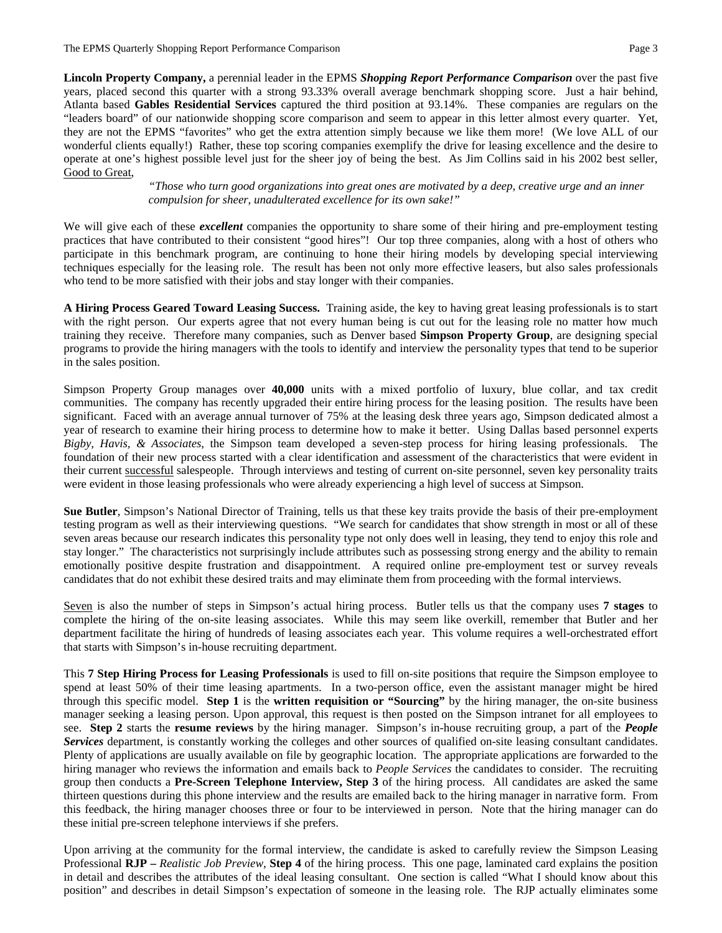**Lincoln Property Company,** a perennial leader in the EPMS *Shopping Report Performance Comparison* over the past five years, placed second this quarter with a strong 93.33% overall average benchmark shopping score. Just a hair behind, Atlanta based **Gables Residential Services** captured the third position at 93.14%. These companies are regulars on the "leaders board" of our nationwide shopping score comparison and seem to appear in this letter almost every quarter. Yet, they are not the EPMS "favorites" who get the extra attention simply because we like them more! (We love ALL of our wonderful clients equally!) Rather, these top scoring companies exemplify the drive for leasing excellence and the desire to operate at one's highest possible level just for the sheer joy of being the best. As Jim Collins said in his 2002 best seller, Good to Great,

> *"Those who turn good organizations into great ones are motivated by a deep, creative urge and an inner compulsion for sheer, unadulterated excellence for its own sake!"*

We will give each of these *excellent* companies the opportunity to share some of their hiring and pre-employment testing practices that have contributed to their consistent "good hires"! Our top three companies, along with a host of others who participate in this benchmark program, are continuing to hone their hiring models by developing special interviewing techniques especially for the leasing role. The result has been not only more effective leasers, but also sales professionals who tend to be more satisfied with their jobs and stay longer with their companies.

**A Hiring Process Geared Toward Leasing Success.** Training aside, the key to having great leasing professionals is to start with the right person. Our experts agree that not every human being is cut out for the leasing role no matter how much training they receive. Therefore many companies, such as Denver based **Simpson Property Group**, are designing special programs to provide the hiring managers with the tools to identify and interview the personality types that tend to be superior in the sales position.

Simpson Property Group manages over **40,000** units with a mixed portfolio of luxury, blue collar, and tax credit communities. The company has recently upgraded their entire hiring process for the leasing position. The results have been significant. Faced with an average annual turnover of 75% at the leasing desk three years ago, Simpson dedicated almost a year of research to examine their hiring process to determine how to make it better. Using Dallas based personnel experts *Bigby, Havis, & Associates*, the Simpson team developed a seven-step process for hiring leasing professionals. The foundation of their new process started with a clear identification and assessment of the characteristics that were evident in their current successful salespeople. Through interviews and testing of current on-site personnel, seven key personality traits were evident in those leasing professionals who were already experiencing a high level of success at Simpson.

**Sue Butler**, Simpson's National Director of Training, tells us that these key traits provide the basis of their pre-employment testing program as well as their interviewing questions. "We search for candidates that show strength in most or all of these seven areas because our research indicates this personality type not only does well in leasing, they tend to enjoy this role and stay longer." The characteristics not surprisingly include attributes such as possessing strong energy and the ability to remain emotionally positive despite frustration and disappointment. A required online pre-employment test or survey reveals candidates that do not exhibit these desired traits and may eliminate them from proceeding with the formal interviews.

Seven is also the number of steps in Simpson's actual hiring process. Butler tells us that the company uses **7 stages** to complete the hiring of the on-site leasing associates. While this may seem like overkill, remember that Butler and her department facilitate the hiring of hundreds of leasing associates each year. This volume requires a well-orchestrated effort that starts with Simpson's in-house recruiting department.

This **7 Step Hiring Process for Leasing Professionals** is used to fill on-site positions that require the Simpson employee to spend at least 50% of their time leasing apartments. In a two-person office, even the assistant manager might be hired through this specific model. **Step 1** is the **written requisition or "Sourcing"** by the hiring manager, the on-site business manager seeking a leasing person. Upon approval, this request is then posted on the Simpson intranet for all employees to see. **Step 2** starts the **resume reviews** by the hiring manager. Simpson's in-house recruiting group, a part of the *People Services* department, is constantly working the colleges and other sources of qualified on-site leasing consultant candidates. Plenty of applications are usually available on file by geographic location. The appropriate applications are forwarded to the hiring manager who reviews the information and emails back to *People Services* the candidates to consider. The recruiting group then conducts a **Pre-Screen Telephone Interview, Step 3** of the hiring process. All candidates are asked the same thirteen questions during this phone interview and the results are emailed back to the hiring manager in narrative form. From this feedback, the hiring manager chooses three or four to be interviewed in person. Note that the hiring manager can do these initial pre-screen telephone interviews if she prefers.

Upon arriving at the community for the formal interview, the candidate is asked to carefully review the Simpson Leasing Professional **RJP –** *Realistic Job Preview*, **Step 4** of the hiring process. This one page, laminated card explains the position in detail and describes the attributes of the ideal leasing consultant. One section is called "What I should know about this position" and describes in detail Simpson's expectation of someone in the leasing role. The RJP actually eliminates some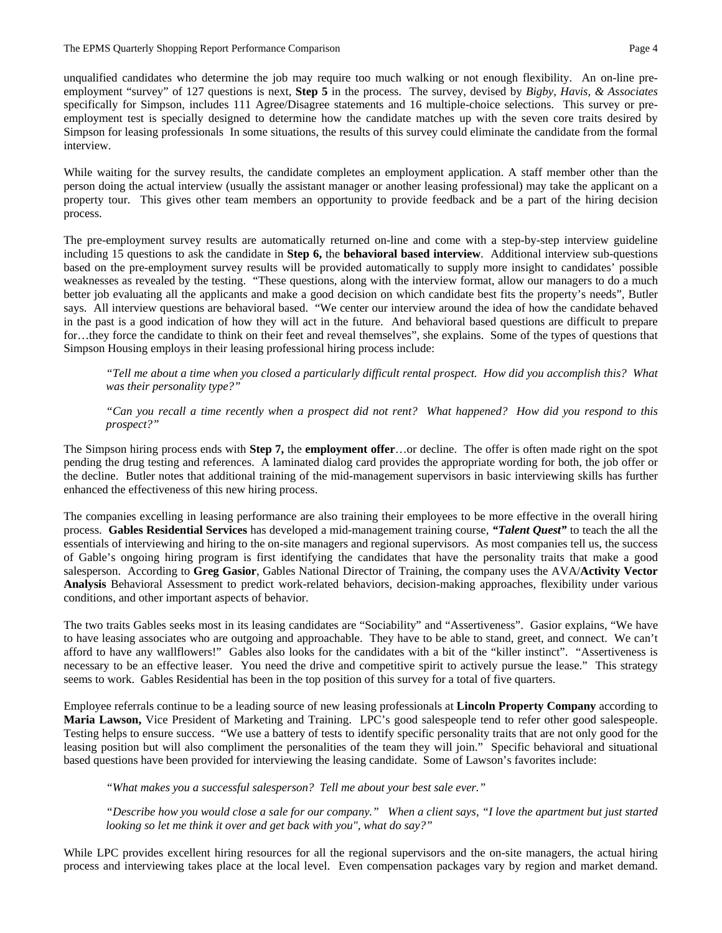unqualified candidates who determine the job may require too much walking or not enough flexibility. An on-line preemployment "survey" of 127 questions is next, **Step 5** in the process. The survey, devised by *Bigby, Havis, & Associates* specifically for Simpson, includes 111 Agree/Disagree statements and 16 multiple-choice selections. This survey or preemployment test is specially designed to determine how the candidate matches up with the seven core traits desired by Simpson for leasing professionals In some situations, the results of this survey could eliminate the candidate from the formal interview.

While waiting for the survey results, the candidate completes an employment application. A staff member other than the person doing the actual interview (usually the assistant manager or another leasing professional) may take the applicant on a property tour. This gives other team members an opportunity to provide feedback and be a part of the hiring decision process.

The pre-employment survey results are automatically returned on-line and come with a step-by-step interview guideline including 15 questions to ask the candidate in **Step 6,** the **behavioral based interview**. Additional interview sub-questions based on the pre-employment survey results will be provided automatically to supply more insight to candidates' possible weaknesses as revealed by the testing. "These questions, along with the interview format, allow our managers to do a much better job evaluating all the applicants and make a good decision on which candidate best fits the property's needs", Butler says. All interview questions are behavioral based. "We center our interview around the idea of how the candidate behaved in the past is a good indication of how they will act in the future. And behavioral based questions are difficult to prepare for…they force the candidate to think on their feet and reveal themselves", she explains. Some of the types of questions that Simpson Housing employs in their leasing professional hiring process include:

*"Tell me about a time when you closed a particularly difficult rental prospect. How did you accomplish this? What was their personality type?"* 

*"Can you recall a time recently when a prospect did not rent? What happened? How did you respond to this prospect?"* 

The Simpson hiring process ends with **Step 7,** the **employment offer**…or decline. The offer is often made right on the spot pending the drug testing and references. A laminated dialog card provides the appropriate wording for both, the job offer or the decline. Butler notes that additional training of the mid-management supervisors in basic interviewing skills has further enhanced the effectiveness of this new hiring process.

The companies excelling in leasing performance are also training their employees to be more effective in the overall hiring process. **Gables Residential Services** has developed a mid-management training course, *"Talent Quest"* to teach the all the essentials of interviewing and hiring to the on-site managers and regional supervisors. As most companies tell us, the success of Gable's ongoing hiring program is first identifying the candidates that have the personality traits that make a good salesperson. According to **Greg Gasior**, Gables National Director of Training, the company uses the AVA/**Activity Vector Analysis** Behavioral Assessment to predict work-related behaviors, decision-making approaches, flexibility under various conditions, and other important aspects of behavior.

The two traits Gables seeks most in its leasing candidates are "Sociability" and "Assertiveness". Gasior explains, "We have to have leasing associates who are outgoing and approachable. They have to be able to stand, greet, and connect. We can't afford to have any wallflowers!" Gables also looks for the candidates with a bit of the "killer instinct". "Assertiveness is necessary to be an effective leaser. You need the drive and competitive spirit to actively pursue the lease." This strategy seems to work. Gables Residential has been in the top position of this survey for a total of five quarters.

Employee referrals continue to be a leading source of new leasing professionals at **Lincoln Property Company** according to **Maria Lawson,** Vice President of Marketing and Training. LPC's good salespeople tend to refer other good salespeople. Testing helps to ensure success. "We use a battery of tests to identify specific personality traits that are not only good for the leasing position but will also compliment the personalities of the team they will join." Specific behavioral and situational based questions have been provided for interviewing the leasing candidate. Some of Lawson's favorites include:

*"What makes you a successful salesperson? Tell me about your best sale ever."* 

*"Describe how you would close a sale for our company." When a client says, "I love the apartment but just started looking so let me think it over and get back with you", what do say?"* 

While LPC provides excellent hiring resources for all the regional supervisors and the on-site managers, the actual hiring process and interviewing takes place at the local level. Even compensation packages vary by region and market demand.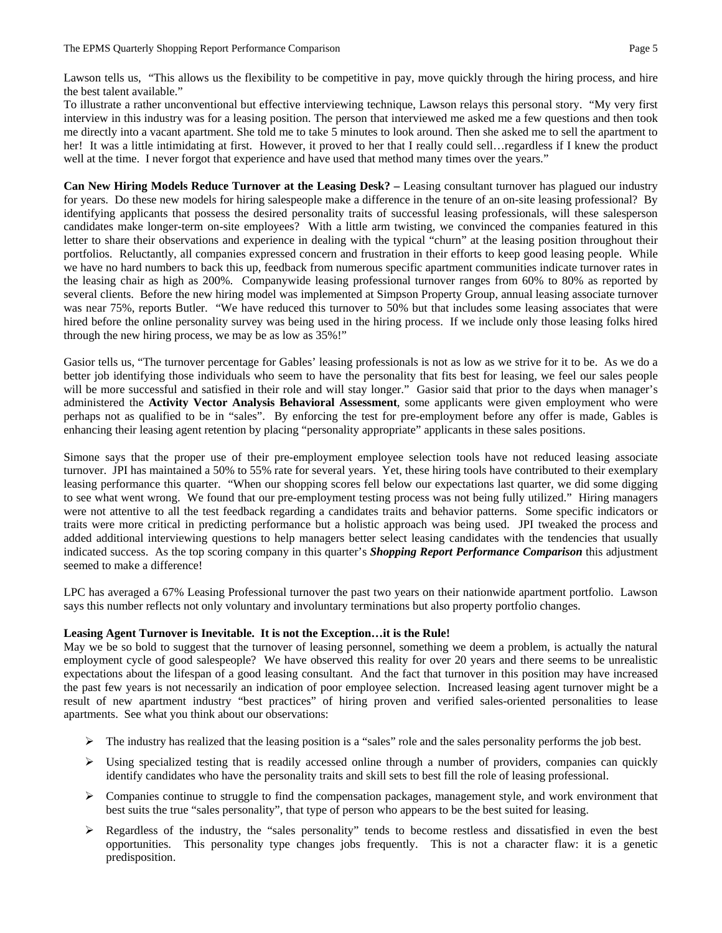Lawson tells us, "This allows us the flexibility to be competitive in pay, move quickly through the hiring process, and hire the best talent available."

To illustrate a rather unconventional but effective interviewing technique, Lawson relays this personal story. "My very first interview in this industry was for a leasing position. The person that interviewed me asked me a few questions and then took me directly into a vacant apartment. She told me to take 5 minutes to look around. Then she asked me to sell the apartment to her! It was a little intimidating at first. However, it proved to her that I really could sell... regardless if I knew the product well at the time. I never forgot that experience and have used that method many times over the years."

**Can New Hiring Models Reduce Turnover at the Leasing Desk? –** Leasing consultant turnover has plagued our industry for years. Do these new models for hiring salespeople make a difference in the tenure of an on-site leasing professional? By identifying applicants that possess the desired personality traits of successful leasing professionals, will these salesperson candidates make longer-term on-site employees? With a little arm twisting, we convinced the companies featured in this letter to share their observations and experience in dealing with the typical "churn" at the leasing position throughout their portfolios. Reluctantly, all companies expressed concern and frustration in their efforts to keep good leasing people. While we have no hard numbers to back this up, feedback from numerous specific apartment communities indicate turnover rates in the leasing chair as high as 200%. Companywide leasing professional turnover ranges from 60% to 80% as reported by several clients. Before the new hiring model was implemented at Simpson Property Group, annual leasing associate turnover was near 75%, reports Butler. "We have reduced this turnover to 50% but that includes some leasing associates that were hired before the online personality survey was being used in the hiring process. If we include only those leasing folks hired through the new hiring process, we may be as low as 35%!"

Gasior tells us, "The turnover percentage for Gables' leasing professionals is not as low as we strive for it to be. As we do a better job identifying those individuals who seem to have the personality that fits best for leasing, we feel our sales people will be more successful and satisfied in their role and will stay longer." Gasior said that prior to the days when manager's administered the **Activity Vector Analysis Behavioral Assessment**, some applicants were given employment who were perhaps not as qualified to be in "sales". By enforcing the test for pre-employment before any offer is made, Gables is enhancing their leasing agent retention by placing "personality appropriate" applicants in these sales positions.

Simone says that the proper use of their pre-employment employee selection tools have not reduced leasing associate turnover. JPI has maintained a 50% to 55% rate for several years. Yet, these hiring tools have contributed to their exemplary leasing performance this quarter. "When our shopping scores fell below our expectations last quarter, we did some digging to see what went wrong. We found that our pre-employment testing process was not being fully utilized." Hiring managers were not attentive to all the test feedback regarding a candidates traits and behavior patterns. Some specific indicators or traits were more critical in predicting performance but a holistic approach was being used. JPI tweaked the process and added additional interviewing questions to help managers better select leasing candidates with the tendencies that usually indicated success. As the top scoring company in this quarter's *Shopping Report Performance Comparison* this adjustment seemed to make a difference!

LPC has averaged a 67% Leasing Professional turnover the past two years on their nationwide apartment portfolio. Lawson says this number reflects not only voluntary and involuntary terminations but also property portfolio changes.

## **Leasing Agent Turnover is Inevitable. It is not the Exception…it is the Rule!**

May we be so bold to suggest that the turnover of leasing personnel, something we deem a problem, is actually the natural employment cycle of good salespeople? We have observed this reality for over 20 years and there seems to be unrealistic expectations about the lifespan of a good leasing consultant. And the fact that turnover in this position may have increased the past few years is not necessarily an indication of poor employee selection. Increased leasing agent turnover might be a result of new apartment industry "best practices" of hiring proven and verified sales-oriented personalities to lease apartments. See what you think about our observations:

- $\triangleright$  The industry has realized that the leasing position is a "sales" role and the sales personality performs the job best.
- $\triangleright$  Using specialized testing that is readily accessed online through a number of providers, companies can quickly identify candidates who have the personality traits and skill sets to best fill the role of leasing professional.
- $\triangleright$  Companies continue to struggle to find the compensation packages, management style, and work environment that best suits the true "sales personality", that type of person who appears to be the best suited for leasing.
- ¾ Regardless of the industry, the "sales personality" tends to become restless and dissatisfied in even the best opportunities. This personality type changes jobs frequently. This is not a character flaw: it is a genetic predisposition.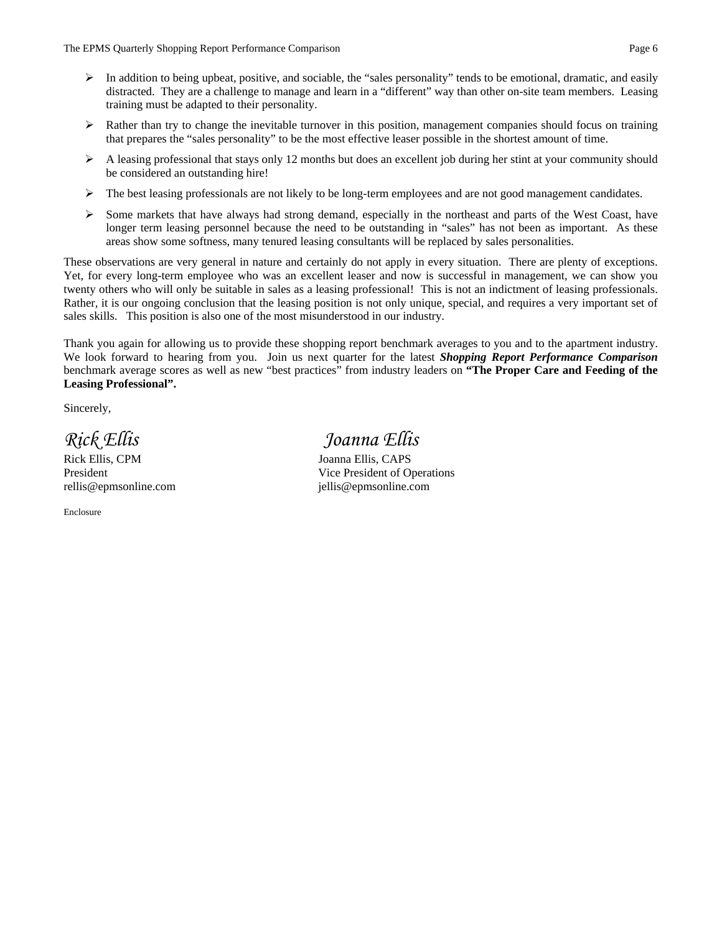- $\triangleright$  In addition to being upbeat, positive, and sociable, the "sales personality" tends to be emotional, dramatic, and easily distracted. They are a challenge to manage and learn in a "different" way than other on-site team members. Leasing training must be adapted to their personality.
- $\triangleright$  Rather than try to change the inevitable turnover in this position, management companies should focus on training that prepares the "sales personality" to be the most effective leaser possible in the shortest amount of time.
- $\triangleright$  A leasing professional that stays only 12 months but does an excellent job during her stint at your community should be considered an outstanding hire!
- $\triangleright$  The best leasing professionals are not likely to be long-term employees and are not good management candidates.
- $\triangleright$  Some markets that have always had strong demand, especially in the northeast and parts of the West Coast, have longer term leasing personnel because the need to be outstanding in "sales" has not been as important. As these areas show some softness, many tenured leasing consultants will be replaced by sales personalities.

These observations are very general in nature and certainly do not apply in every situation. There are plenty of exceptions. Yet, for every long-term employee who was an excellent leaser and now is successful in management, we can show you twenty others who will only be suitable in sales as a leasing professional! This is not an indictment of leasing professionals. Rather, it is our ongoing conclusion that the leasing position is not only unique, special, and requires a very important set of sales skills. This position is also one of the most misunderstood in our industry.

Thank you again for allowing us to provide these shopping report benchmark averages to you and to the apartment industry. We look forward to hearing from you. Join us next quarter for the latest *Shopping Report Performance Comparison*  benchmark average scores as well as new "best practices" from industry leaders on **"The Proper Care and Feeding of the Leasing Professional".** 

Sincerely,

Rick Ellis, CPM Joanna Ellis, CAPS rellis@epmsonline.com jellis@epmsonline.com

Enclosure

# *Rick Ellis Joanna Ellis*

President Vice President of Operations